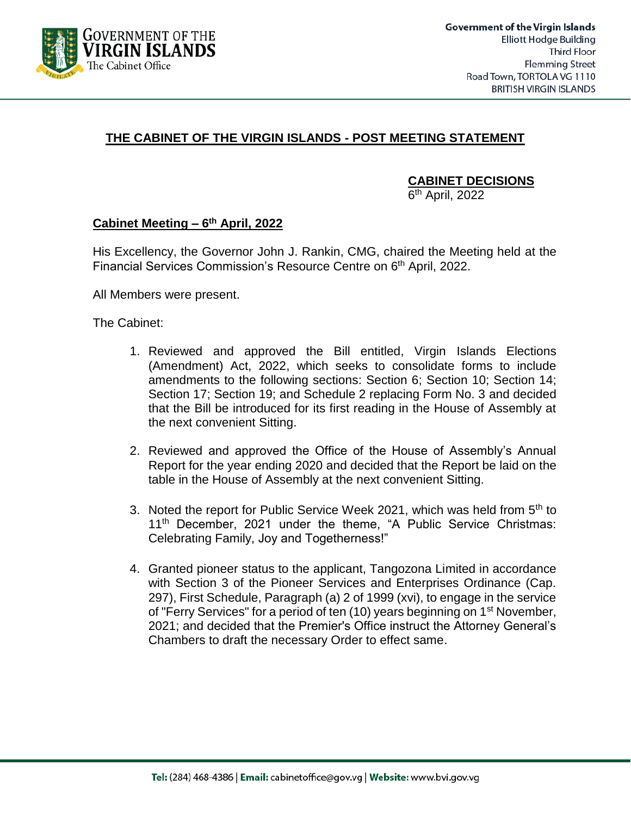

## **THE CABINET OF THE VIRGIN ISLANDS - POST MEETING STATEMENT**

**CABINET DECISIONS**

6<sup>th</sup> April, 2022

## **Cabinet Meeting – 6 th April, 2022**

His Excellency, the Governor John J. Rankin, CMG, chaired the Meeting held at the Financial Services Commission's Resource Centre on 6<sup>th</sup> April, 2022.

All Members were present.

The Cabinet:

- 1. Reviewed and approved the Bill entitled, Virgin Islands Elections (Amendment) Act, 2022, which seeks to consolidate forms to include amendments to the following sections: Section 6; Section 10; Section 14; Section 17; Section 19; and Schedule 2 replacing Form No. 3 and decided that the Bill be introduced for its first reading in the House of Assembly at the next convenient Sitting.
- 2. Reviewed and approved the Office of the House of Assembly's Annual Report for the year ending 2020 and decided that the Report be laid on the table in the House of Assembly at the next convenient Sitting.
- 3. Noted the report for Public Service Week 2021, which was held from 5<sup>th</sup> to 11<sup>th</sup> December, 2021 under the theme, "A Public Service Christmas: Celebrating Family, Joy and Togetherness!"
- 4. Granted pioneer status to the applicant, Tangozona Limited in accordance with Section 3 of the Pioneer Services and Enterprises Ordinance (Cap. 297), First Schedule, Paragraph (a) 2 of 1999 (xvi), to engage in the service of "Ferry Services" for a period of ten (10) years beginning on 1<sup>st</sup> November, 2021; and decided that the Premier's Office instruct the Attorney General's Chambers to draft the necessary Order to effect same.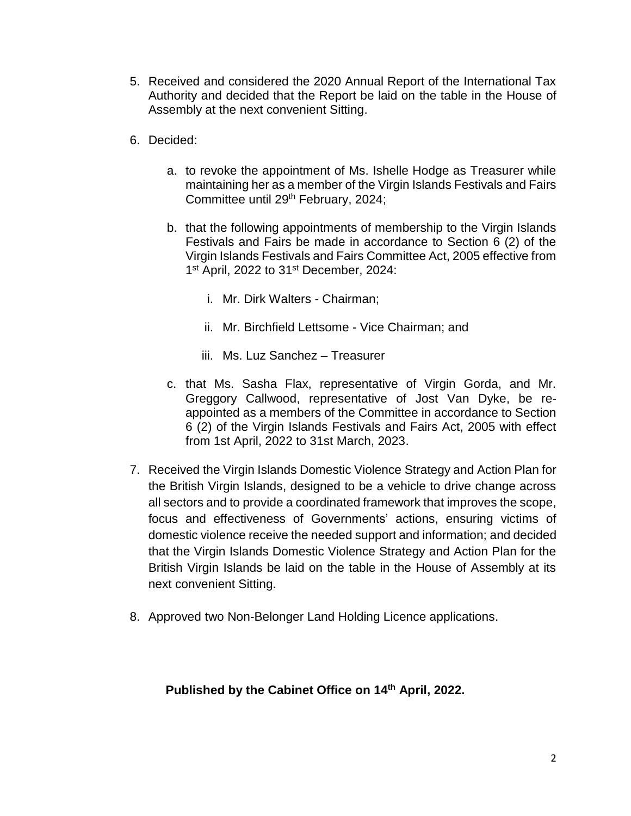- 5. Received and considered the 2020 Annual Report of the International Tax Authority and decided that the Report be laid on the table in the House of Assembly at the next convenient Sitting.
- 6. Decided:
	- a. to revoke the appointment of Ms. Ishelle Hodge as Treasurer while maintaining her as a member of the Virgin Islands Festivals and Fairs Committee until 29<sup>th</sup> February, 2024;
	- b. that the following appointments of membership to the Virgin Islands Festivals and Fairs be made in accordance to Section 6 (2) of the Virgin Islands Festivals and Fairs Committee Act, 2005 effective from 1<sup>st</sup> April, 2022 to 31<sup>st</sup> December, 2024:
		- i. Mr. Dirk Walters Chairman;
		- ii. Mr. Birchfield Lettsome Vice Chairman; and
		- iii. Ms. Luz Sanchez Treasurer
	- c. that Ms. Sasha Flax, representative of Virgin Gorda, and Mr. Greggory Callwood, representative of Jost Van Dyke, be reappointed as a members of the Committee in accordance to Section 6 (2) of the Virgin Islands Festivals and Fairs Act, 2005 with effect from 1st April, 2022 to 31st March, 2023.
- 7. Received the Virgin Islands Domestic Violence Strategy and Action Plan for the British Virgin Islands, designed to be a vehicle to drive change across all sectors and to provide a coordinated framework that improves the scope, focus and effectiveness of Governments' actions, ensuring victims of domestic violence receive the needed support and information; and decided that the Virgin Islands Domestic Violence Strategy and Action Plan for the British Virgin Islands be laid on the table in the House of Assembly at its next convenient Sitting.
- 8. Approved two Non-Belonger Land Holding Licence applications.

## **Published by the Cabinet Office on 14th April, 2022.**